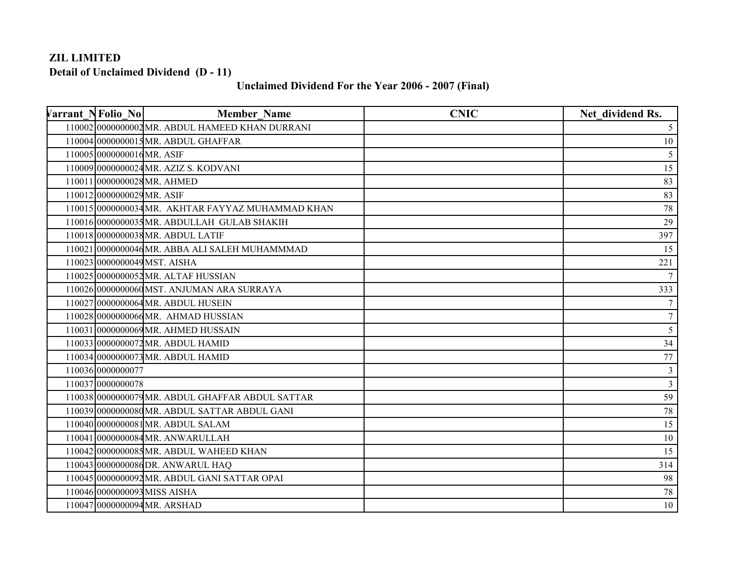## **ZIL LIMITED Detail of Unclaimed Dividend (D - 11)**

## **Unclaimed Dividend For the Year 2006 - 2007 (Final)**

| arrant NFolio No           | <b>Member Name</b>                                | <b>CNIC</b> | Net dividend Rs. |
|----------------------------|---------------------------------------------------|-------------|------------------|
|                            | 110002 0000000002 MR. ABDUL HAMEED KHAN DURRANI   |             | 5 <sup>5</sup>   |
|                            | 110004 0000000015 MR. ABDUL GHAFFAR               |             | 10               |
| 110005 0000000016 MR. ASIF |                                                   |             | 5 <sup>5</sup>   |
|                            | 110009 0000000024 MR. AZIZ S. KODVANI             |             | 15               |
|                            | 110011 0000000028 MR. AHMED                       |             | 83               |
| 110012 0000000029 MR. ASIF |                                                   |             | 83               |
|                            | 110015 0000000034 MR. AKHTAR FAYYAZ MUHAMMAD KHAN |             | 78               |
|                            | 110016 0000000035 MR. ABDULLAH GULAB SHAKIH       |             | 29               |
|                            | 110018 0000000038 MR. ABDUL LATIF                 |             | 397              |
|                            | 110021 0000000046 MR. ABBA ALI SALEH MUHAMMMAD    |             | 15               |
|                            | 110023 0000000049 MST. AISHA                      |             | 221              |
|                            | 110025 0000000052 MR. ALTAF HUSSIAN               |             | $7\overline{ }$  |
|                            | 110026 0000000060 MST. ANJUMAN ARA SURRAYA        |             | 333              |
|                            | 110027 0000000064 MR. ABDUL HUSEIN                |             | $\tau$           |
|                            | 110028 0000000066 MR. AHMAD HUSSIAN               |             | $7\phantom{.}$   |
|                            | 110031 0000000069 MR. AHMED HUSSAIN               |             | 5                |
|                            | 110033 0000000072 MR. ABDUL HAMID                 |             | 34               |
|                            | 110034 0000000073 MR. ABDUL HAMID                 |             | $77\,$           |
| 110036 0000000077          |                                                   |             | 3 <sup>1</sup>   |
| 110037 0000000078          |                                                   |             | $\mathfrak{Z}$   |
|                            | 110038 0000000079 MR. ABDUL GHAFFAR ABDUL SATTAR  |             | 59               |
|                            | 110039 0000000080 MR. ABDUL SATTAR ABDUL GANI     |             | 78               |
|                            | 110040 0000000081 MR. ABDUL SALAM                 |             | 15               |
|                            | 110041 0000000084 MR. ANWARULLAH                  |             | 10               |
|                            | 110042 0000000085 MR. ABDUL WAHEED KHAN           |             | 15               |
|                            | 110043 0000000086 DR. ANWARUL HAQ                 |             | 314              |
|                            | 110045 0000000092 MR. ABDUL GANI SATTAR OPAI      |             | 98               |
|                            | 110046 0000000093 MISS AISHA                      |             | 78               |
|                            | 110047 0000000094 MR. ARSHAD                      |             | 10               |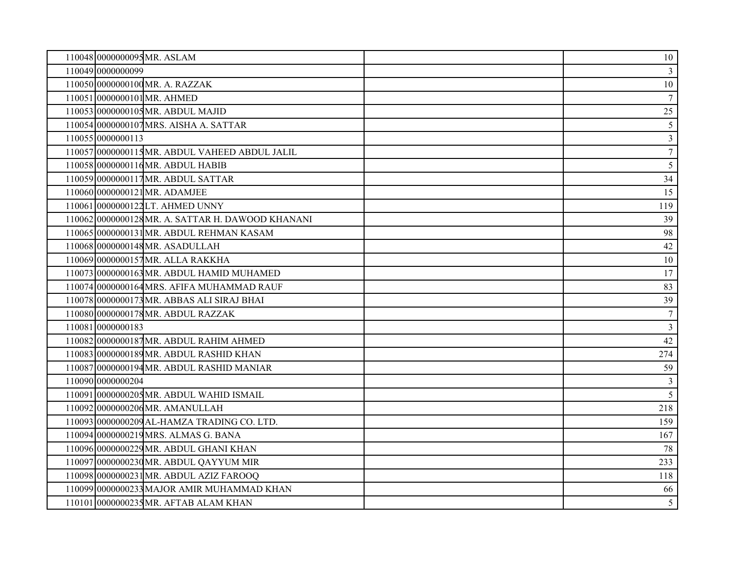| 110048 0000000095 MR. ASLAM                       | 10               |
|---------------------------------------------------|------------------|
| 110049 0000000099                                 | $\mathbf{3}$     |
| 110050 0000000100 MR. A. RAZZAK                   | $10\,$           |
| 110051 0000000101 MR. AHMED                       | $7\overline{ }$  |
| 110053 0000000105 MR. ABDUL MAJID                 | 25               |
| 110054 0000000107 MRS. AISHA A. SATTAR            | $\mathfrak{S}$   |
| 110055 0000000113                                 | $\mathfrak{Z}$   |
| 110057 0000000115 MR. ABDUL VAHEED ABDUL JALIL    | $\boldsymbol{7}$ |
| 110058 0000000116 MR. ABDUL HABIB                 | 5                |
| 110059 0000000117 MR. ABDUL SATTAR                | 34               |
| 110060 0000000121 MR. ADAMJEE                     | 15               |
| 110061 0000000122 LT. AHMED UNNY                  | 119              |
| 110062 0000000128 MR. A. SATTAR H. DAWOOD KHANANI | 39               |
| 110065 0000000131 MR. ABDUL REHMAN KASAM          | 98               |
| 110068 0000000148 MR. ASADULLAH                   | $42\,$           |
| 110069 0000000157 MR. ALLA RAKKHA                 | $10\,$           |
| 110073 0000000163 MR. ABDUL HAMID MUHAMED         | 17               |
| 110074 0000000164 MRS. AFIFA MUHAMMAD RAUF        | 83               |
| 110078 0000000173 MR. ABBAS ALI SIRAJ BHAI        | 39               |
| 110080 0000000178 MR. ABDUL RAZZAK                | $\tau$           |
| 110081 0000000183                                 | $\overline{3}$   |
| 110082 0000000187 MR. ABDUL RAHIM AHMED           | $42\,$           |
| 110083 0000000189 MR. ABDUL RASHID KHAN           | 274              |
| 110087 0000000194 MR. ABDUL RASHID MANIAR         | 59               |
| 110090 0000000204                                 | $\mathfrak{Z}$   |
| 110091 0000000205 MR. ABDUL WAHID ISMAIL          | $\overline{5}$   |
| 110092 0000000206 MR. AMANULLAH                   | 218              |
| 110093 0000000209 AL-HAMZA TRADING CO. LTD.       | 159              |
| 110094 0000000219 MRS. ALMAS G. BANA              | 167              |
| 110096 0000000229 MR. ABDUL GHANI KHAN            | $78\,$           |
| 110097 0000000230 MR. ABDUL QAYYUM MIR            | 233              |
| 110098 0000000231 MR. ABDUL AZIZ FAROOQ           | 118              |
| 110099 0000000233 MAJOR AMIR MUHAMMAD KHAN        | 66               |
| 110101 0000000235 MR. AFTAB ALAM KHAN             | $5\overline{)}$  |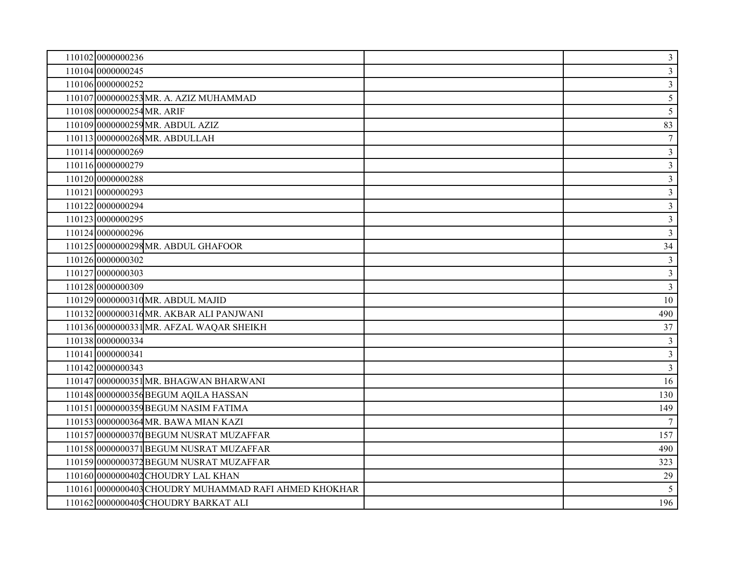| 110102 0000000236                                     | $\mathfrak{Z}$  |
|-------------------------------------------------------|-----------------|
| 110104 0000000245                                     | $\mathfrak{Z}$  |
| 110106 0000000252                                     | $\mathfrak{Z}$  |
| 110107 0000000253 MR. A. AZIZ MUHAMMAD                | $\mathfrak{S}$  |
| 110108 0000000254 MR. ARIF                            | 5               |
| 110109 0000000259 MR. ABDUL AZIZ                      | 83              |
| 110113 0000000268 MR. ABDULLAH                        | $\tau$          |
| 110114 0000000269                                     | $\overline{3}$  |
| 110116 0000000279                                     | $\overline{3}$  |
| 110120 0000000288                                     | $\mathfrak{Z}$  |
| 110121 0000000293                                     | $\mathfrak{Z}$  |
| 110122 0000000294                                     | $\mathfrak{Z}$  |
| 110123 0000000295                                     | $\overline{3}$  |
| 110124 0000000296                                     | $\overline{3}$  |
| 110125 0000000298 MR. ABDUL GHAFOOR                   | 34              |
| 110126 0000000302                                     | $\mathfrak{Z}$  |
| 110127 0000000303                                     | $\mathfrak{Z}$  |
| 110128 0000000309                                     | $\mathfrak{Z}$  |
| 110129 0000000310 MR. ABDUL MAJID                     | 10              |
| 110132 0000000316 MR. AKBAR ALI PANJWANI              | 490             |
| 110136 0000000331 MR. AFZAL WAQAR SHEIKH              | 37              |
| 110138 0000000334                                     | $\mathfrak{Z}$  |
| 110141 0000000341                                     | $\mathfrak{Z}$  |
| 110142 0000000343                                     | $\overline{3}$  |
| 110147 0000000351 MR. BHAGWAN BHARWANI                | 16              |
| 110148 0000000356 BEGUM AQILA HASSAN                  | 130             |
| 110151 0000000359 BEGUM NASIM FATIMA                  | 149             |
| 110153 0000000364 MR. BAWA MIAN KAZI                  | $7\phantom{.0}$ |
| 110157 0000000370 BEGUM NUSRAT MUZAFFAR               | 157             |
| 110158 0000000371 BEGUM NUSRAT MUZAFFAR               | 490             |
| 110159 0000000372 BEGUM NUSRAT MUZAFFAR               | 323             |
| 110160 0000000402 CHOUDRY LAL KHAN                    | 29              |
| 110161 0000000403 CHOUDRY MUHAMMAD RAFI AHMED KHOKHAR | $5\overline{)}$ |
| 110162 0000000405 CHOUDRY BARKAT ALI                  | 196             |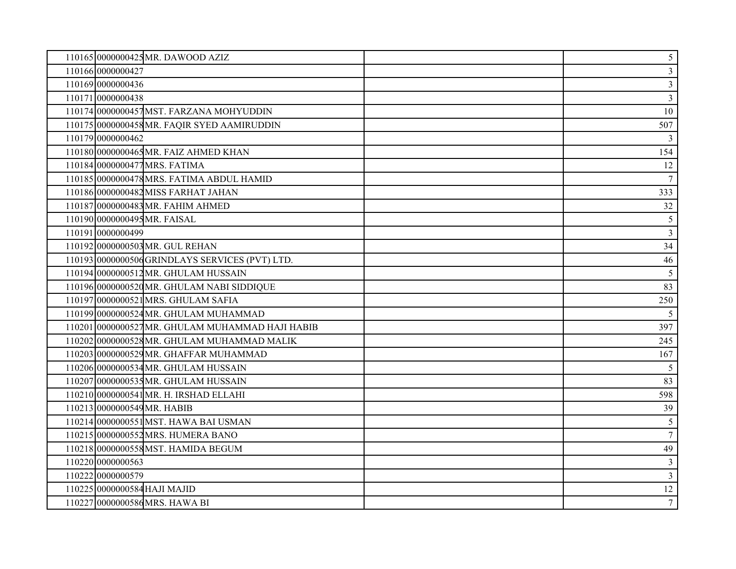| 110165 0000000425 MR. DAWOOD AZIZ                | $5\overline{)}$ |
|--------------------------------------------------|-----------------|
| 110166 0000000427                                | $\mathfrak{Z}$  |
| 110169 0000000436                                | $\overline{3}$  |
| 110171 0000000438                                | $\overline{3}$  |
| 110174 0000000457 MST. FARZANA MOHYUDDIN         | $10\,$          |
| 110175 0000000458 MR. FAQIR SYED AAMIRUDDIN      | 507             |
| 110179 0000000462                                | 3               |
| 110180 0000000465 MR. FAIZ AHMED KHAN            | 154             |
| 110184 0000000477 MRS. FATIMA                    | 12              |
| 110185 0000000478 MRS. FATIMA ABDUL HAMID        | $\tau$          |
| 110186 0000000482 MISS FARHAT JAHAN              | 333             |
| 110187 0000000483 MR. FAHIM AHMED                | 32              |
| 110190 0000000495 MR. FAISAL                     | $5\phantom{.0}$ |
| 110191 0000000499                                | $\overline{3}$  |
| 110192 0000000503 MR. GUL REHAN                  | 34              |
| 110193 0000000506 GRINDLAYS SERVICES (PVT) LTD.  | 46              |
| 110194 0000000512 MR. GHULAM HUSSAIN             | 5               |
| 110196 0000000520 MR. GHULAM NABI SIDDIQUE       | 83              |
| 110197 0000000521 MRS. GHULAM SAFIA              | 250             |
| 110199 0000000524 MR. GHULAM MUHAMMAD            | $5\overline{)}$ |
| 110201 0000000527 MR. GHULAM MUHAMMAD HAJI HABIB | 397             |
| 110202 0000000528 MR. GHULAM MUHAMMAD MALIK      | 245             |
| 110203 0000000529 MR. GHAFFAR MUHAMMAD           | 167             |
| 110206 0000000534 MR. GHULAM HUSSAIN             | 5               |
| 110207 0000000535 MR. GHULAM HUSSAIN             | 83              |
| 110210 0000000541 MR. H. IRSHAD ELLAHI           | 598             |
| 110213 0000000549 MR. HABIB                      | 39              |
| 110214 0000000551 MST. HAWA BAI USMAN            | 5               |
| 110215 0000000552 MRS. HUMERA BANO               | $\overline{7}$  |
| 110218 0000000558 MST. HAMIDA BEGUM              | 49              |
| 110220 0000000563                                | $\overline{3}$  |
| 110222 0000000579                                | $\mathfrak{Z}$  |
| 110225 0000000584 HAJI MAJID                     | 12              |
| 110227 0000000586 MRS. HAWA BI                   | $\overline{7}$  |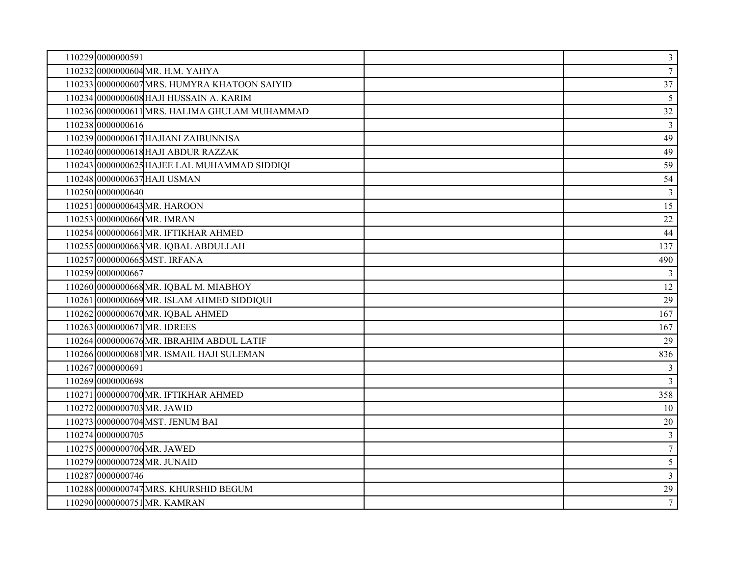| 110229 0000000591                             | $\mathfrak{Z}$   |
|-----------------------------------------------|------------------|
| 110232 0000000604 MR. H.M. YAHYA              | $\tau$           |
| 110233 0000000607 MRS. HUMYRA KHATOON SAIYID  | 37               |
| 110234 0000000608 HAJI HUSSAIN A. KARIM       | 5                |
| 110236 0000000611 MRS. HALIMA GHULAM MUHAMMAD | 32               |
| 110238 0000000616                             | $\mathfrak{Z}$   |
| 110239 0000000617 HAJIANI ZAIBUNNISA          | 49               |
| 110240 0000000618 HAJI ABDUR RAZZAK           | 49               |
| 110243 0000000625 HAJEE LAL MUHAMMAD SIDDIQI  | 59               |
| 110248 0000000637 HAJI USMAN                  | 54               |
| 110250 0000000640                             | $\mathfrak{Z}$   |
| 110251 0000000643 MR. HAROON                  | 15               |
| 110253 0000000660 MR. IMRAN                   | 22               |
| 110254 0000000661 MR. IFTIKHAR AHMED          | 44               |
| 110255 0000000663 MR. IQBAL ABDULLAH          | 137              |
| 110257 0000000665 MST. IRFANA                 | 490              |
| 110259 0000000667                             | $\mathfrak{Z}$   |
| 110260 0000000668 MR. IQBAL M. MIABHOY        | $12\,$           |
| 110261 0000000669 MR. ISLAM AHMED SIDDIQUI    | 29               |
| 110262 0000000670 MR. IQBAL AHMED             | 167              |
| 110263 0000000671 MR. IDREES                  | 167              |
| 110264 0000000676 MR. IBRAHIM ABDUL LATIF     | 29               |
| 110266 0000000681 MR. ISMAIL HAJI SULEMAN     | 836              |
| 110267 0000000691                             | $\mathfrak{Z}$   |
| 110269 0000000698                             | $\mathfrak{Z}$   |
| 110271 0000000700 MR. IFTIKHAR AHMED          | 358              |
| 110272 0000000703 MR. JAWID                   | 10               |
| 110273 0000000704 MST. JENUM BAI              | $20\,$           |
| 110274 0000000705                             | $\mathfrak{Z}$   |
| 110275 0000000706 MR. JAWED                   | $\boldsymbol{7}$ |
| 110279 0000000728 MR. JUNAID                  | $\mathfrak{S}$   |
| 110287 0000000746                             | $\overline{3}$   |
| 110288 0000000747 MRS. KHURSHID BEGUM         | 29               |
| 110290 0000000751 MR. KAMRAN                  | $\overline{7}$   |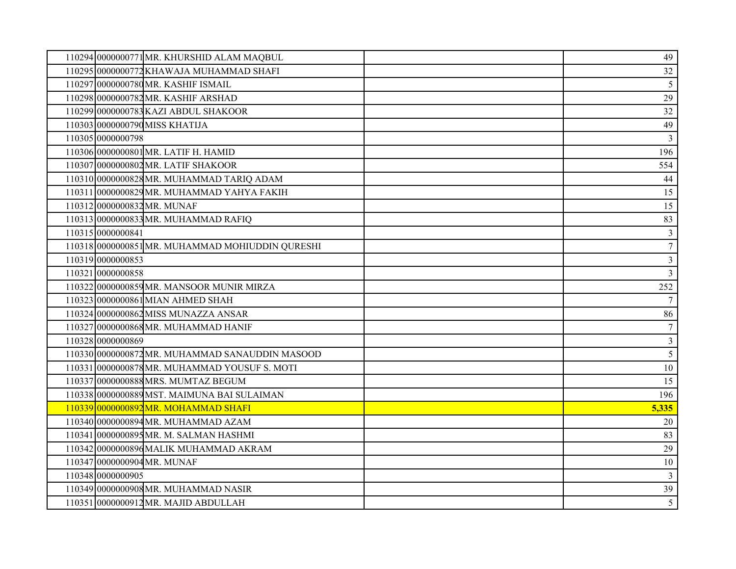| 110294 0000000771 MR. KHURSHID ALAM MAQBUL       | 49              |
|--------------------------------------------------|-----------------|
| 110295 0000000772 KHAWAJA MUHAMMAD SHAFI         | 32              |
| 110297 0000000780 MR. KASHIF ISMAIL              | $5\overline{)}$ |
| 110298 0000000782 MR. KASHIF ARSHAD              | 29              |
| 110299 0000000783 KAZI ABDUL SHAKOOR             | 32              |
| 110303 0000000790 MISS KHATIJA                   | 49              |
| 110305 0000000798                                | $\overline{3}$  |
| 110306 0000000801 MR. LATIF H. HAMID             | 196             |
| 110307 0000000802 MR. LATIF SHAKOOR              | 554             |
| 110310 0000000828 MR. MUHAMMAD TARIQ ADAM        | 44              |
| 110311 0000000829 MR. MUHAMMAD YAHYA FAKIH       | 15              |
| 110312 0000000832 MR. MUNAF                      | 15              |
| 110313 0000000833 MR. MUHAMMAD RAFIQ             | 83              |
| 110315 0000000841                                | $\overline{3}$  |
| 110318 0000000851 MR. MUHAMMAD MOHIUDDIN QURESHI | $\tau$          |
| 110319 0000000853                                | $\overline{3}$  |
| 110321 0000000858                                | $\overline{3}$  |
| 110322 0000000859 MR. MANSOOR MUNIR MIRZA        | 252             |
| 110323 0000000861 MIAN AHMED SHAH                | $7\overline{ }$ |
| 110324 0000000862 MISS MUNAZZA ANSAR             | 86              |
| 110327 0000000868 MR. MUHAMMAD HANIF             | $\tau$          |
| 110328 0000000869                                | $\overline{3}$  |
| 110330 0000000872 MR. MUHAMMAD SANAUDDIN MASOOD  | 5               |
| 110331 0000000878 MR. MUHAMMAD YOUSUF S. MOTI    | $10\,$          |
| 110337 0000000888 MRS. MUMTAZ BEGUM              | 15              |
| 110338 0000000889 MST. MAIMUNA BAI SULAIMAN      | 196             |
| 110339 0000000892 MR. MOHAMMAD SHAFI             | 5,335           |
| 110340 0000000894 MR. MUHAMMAD AZAM              | 20              |
| 110341 0000000895 MR. M. SALMAN HASHMI           | 83              |
| 110342 0000000896 MALIK MUHAMMAD AKRAM           | 29              |
| 110347 0000000904 MR. MUNAF                      | $10\,$          |
| 110348 0000000905                                | $\mathbf{3}$    |
| 110349 0000000908 MR. MUHAMMAD NASIR             | 39              |
| 110351 0000000912 MR. MAJID ABDULLAH             | 5               |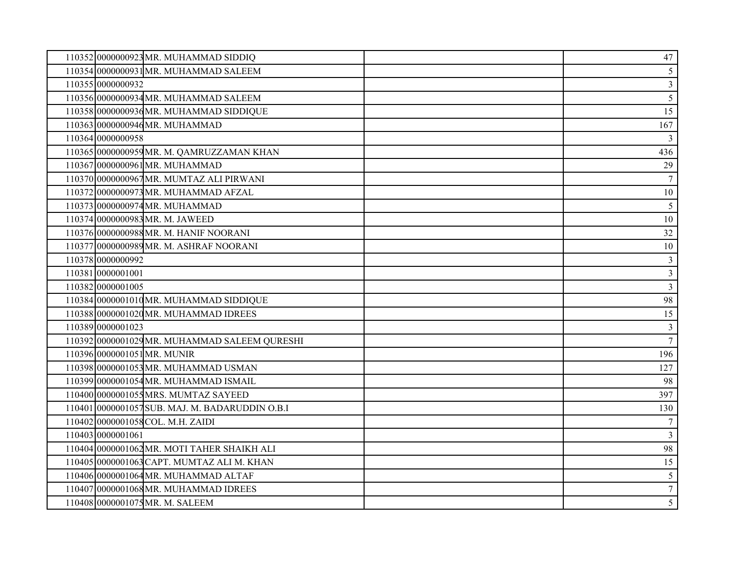| 110352 0000000923 MR. MUHAMMAD SIDDIQ           | 47              |
|-------------------------------------------------|-----------------|
| 110354 0000000931 MR. MUHAMMAD SALEEM           | $5\overline{)}$ |
| 110355 0000000932                               | $\mathfrak{Z}$  |
| 110356 0000000934 MR. MUHAMMAD SALEEM           | 5               |
| 110358 0000000936 MR. MUHAMMAD SIDDIQUE         | 15              |
| 110363 0000000946 MR. MUHAMMAD                  | 167             |
| 110364 0000000958                               | 3               |
| 110365 0000000959 MR. M. QAMRUZZAMAN KHAN       | 436             |
| 110367 0000000961 MR. MUHAMMAD                  | 29              |
| 110370 0000000967 MR. MUMTAZ ALI PIRWANI        | $\overline{7}$  |
| 110372 0000000973 MR. MUHAMMAD AFZAL            | $10\,$          |
| 110373 0000000974 MR. MUHAMMAD                  | 5               |
| 110374 0000000983 MR. M. JAWEED                 | $10\,$          |
| 110376 0000000988 MR. M. HANIF NOORANI          | 32              |
| 110377 0000000989 MR. M. ASHRAF NOORANI         | $10\,$          |
| 110378 0000000992                               | $\mathfrak{Z}$  |
| 110381 0000001001                               | $\mathfrak{Z}$  |
| 110382 0000001005                               | $\overline{3}$  |
| 110384 0000001010 MR. MUHAMMAD SIDDIQUE         | 98              |
| 110388 0000001020 MR. MUHAMMAD IDREES           | 15              |
| 110389 0000001023                               | $\mathfrak{Z}$  |
| 110392 0000001029 MR. MUHAMMAD SALEEM QURESHI   | 7               |
| 110396 0000001051 MR. MUNIR                     | 196             |
| 110398 0000001053 MR. MUHAMMAD USMAN            | 127             |
| 110399 0000001054 MR. MUHAMMAD ISMAIL           | 98              |
| 110400 0000001055 MRS. MUMTAZ SAYEED            | 397             |
| 110401 0000001057 SUB. MAJ. M. BADARUDDIN O.B.I | 130             |
| 110402 0000001058 COL. M.H. ZAIDI               | $\overline{7}$  |
| 110403 0000001061                               | $\overline{3}$  |
| 110404 0000001062 MR. MOTI TAHER SHAIKH ALI     | 98              |
| 110405 0000001063 CAPT. MUMTAZ ALI M. KHAN      | 15              |
| 110406 0000001064 MR. MUHAMMAD ALTAF            | 5               |
| 110407 0000001068 MR. MUHAMMAD IDREES           | $\overline{7}$  |
| 110408 0000001075 MR. M. SALEEM                 | $5\overline{)}$ |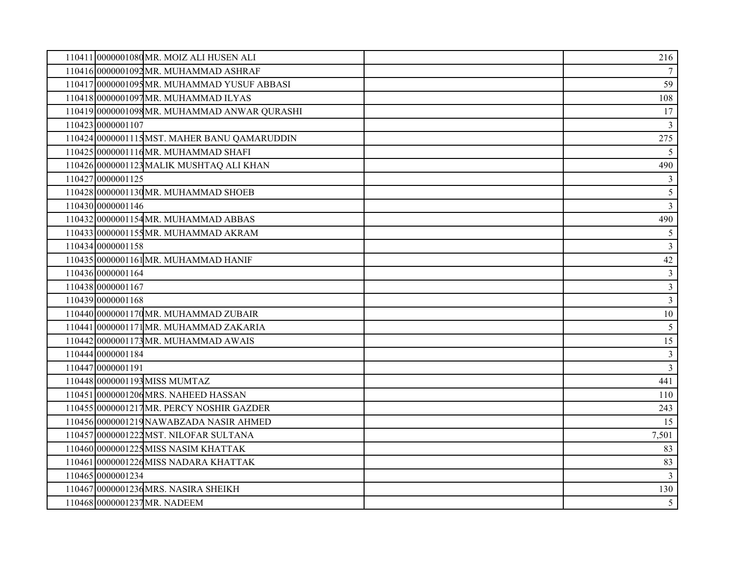| 110411 0000001080 MR. MOIZ ALI HUSEN ALI     | 216                     |
|----------------------------------------------|-------------------------|
| 110416 0000001092 MR. MUHAMMAD ASHRAF        | $\tau$                  |
| 110417 0000001095 MR. MUHAMMAD YUSUF ABBASI  | 59                      |
| 110418 0000001097 MR. MUHAMMAD ILYAS         | 108                     |
| 110419 0000001098 MR. MUHAMMAD ANWAR QURASHI | 17                      |
| 110423 0000001107                            | $\overline{3}$          |
| 110424 0000001115 MST. MAHER BANU QAMARUDDIN | 275                     |
| 110425 0000001116 MR. MUHAMMAD SHAFI         | $5\overline{)}$         |
| 110426 0000001123 MALIK MUSHTAQ ALI KHAN     | 490                     |
| 110427 0000001125                            | 3                       |
| 110428 0000001130 MR. MUHAMMAD SHOEB         | 5                       |
| 110430 0000001146                            | $\overline{\mathbf{3}}$ |
| 110432 0000001154 MR. MUHAMMAD ABBAS         | 490                     |
| 110433 0000001155 MR. MUHAMMAD AKRAM         | $5\overline{)}$         |
| 110434 0000001158                            | $\overline{3}$          |
| 110435 0000001161 MR. MUHAMMAD HANIF         | 42                      |
| 110436 0000001164                            | $\mathfrak{Z}$          |
| 110438 0000001167                            | $\mathfrak{Z}$          |
| 110439 0000001168                            | $\mathfrak{Z}$          |
| 110440 0000001170 MR. MUHAMMAD ZUBAIR        | $10\,$                  |
| 110441 0000001171 MR. MUHAMMAD ZAKARIA       | $5\overline{)}$         |
| 110442 0000001173 MR. MUHAMMAD AWAIS         | 15                      |
| 110444 0000001184                            | $\mathfrak{Z}$          |
| 110447 0000001191                            | $\overline{3}$          |
| 110448 0000001193 MISS MUMTAZ                | 441                     |
| 110451 0000001206 MRS. NAHEED HASSAN         | 110                     |
| 110455 0000001217 MR. PERCY NOSHIR GAZDER    | 243                     |
| 110456 0000001219 NAWABZADA NASIR AHMED      | 15                      |
| 110457 0000001222 MST. NILOFAR SULTANA       | 7,501                   |
| 110460 0000001225 MISS NASIM KHATTAK         | 83                      |
| 110461 0000001226 MISS NADARA KHATTAK        | 83                      |
| 110465 0000001234                            | $\mathfrak{Z}$          |
| 110467 0000001236 MRS. NASIRA SHEIKH         | 130                     |
| 110468 0000001237 MR. NADEEM                 | $5\overline{)}$         |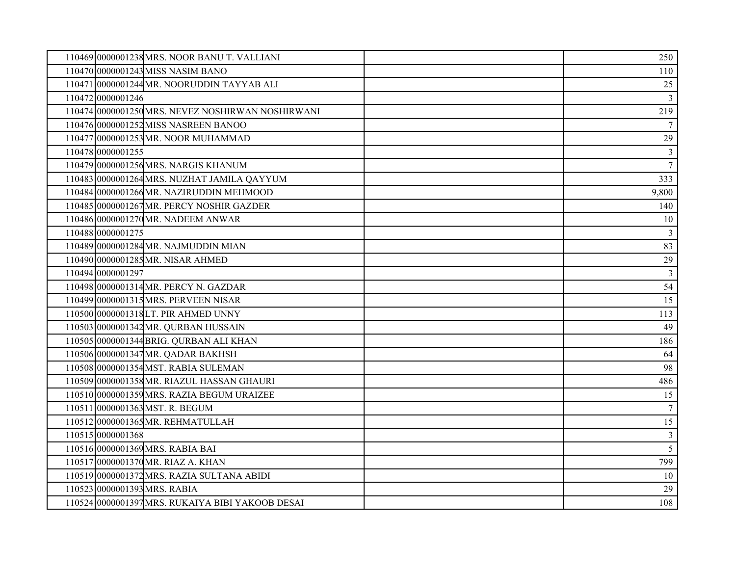| 110469 0000001238 MRS. NOOR BANU T. VALLIANI      | 250             |
|---------------------------------------------------|-----------------|
| 110470 0000001243 MISS NASIM BANO                 | 110             |
| 110471 0000001244 MR. NOORUDDIN TAYYAB ALI        | 25              |
| 110472 0000001246                                 | $\overline{3}$  |
| 110474 0000001250 MRS. NEVEZ NOSHIRWAN NOSHIRWANI | 219             |
| 110476 0000001252 MISS NASREEN BANOO              | $7\phantom{.0}$ |
| 110477 0000001253 MR. NOOR MUHAMMAD               | 29              |
| 110478 0000001255                                 | $\overline{3}$  |
| 110479 0000001256 MRS. NARGIS KHANUM              | $\overline{7}$  |
| 110483 0000001264 MRS. NUZHAT JAMILA QAYYUM       | 333             |
| 110484 0000001266 MR. NAZIRUDDIN MEHMOOD          | 9,800           |
| 110485 0000001267 MR. PERCY NOSHIR GAZDER         | 140             |
| 110486 0000001270 MR. NADEEM ANWAR                | $10\,$          |
| 110488 0000001275                                 | $\mathbf{3}$    |
| 110489 0000001284 MR. NAJMUDDIN MIAN              | 83              |
| 110490 0000001285 MR. NISAR AHMED                 | 29              |
| 110494 0000001297                                 | $\mathbf{3}$    |
| 110498 0000001314 MR. PERCY N. GAZDAR             | 54              |
| 110499 0000001315 MRS. PERVEEN NISAR              | 15              |
| 110500 0000001318 LT. PIR AHMED UNNY              | 113             |
| 110503 0000001342 MR. QURBAN HUSSAIN              | 49              |
| 110505 0000001344 BRIG. QURBAN ALI KHAN           | 186             |
| 110506 0000001347 MR. QADAR BAKHSH                | 64              |
| 110508 0000001354 MST. RABIA SULEMAN              | 98              |
| 110509 0000001358 MR. RIAZUL HASSAN GHAURI        | 486             |
| 110510 0000001359 MRS. RAZIA BEGUM URAIZEE        | 15              |
| 110511 0000001363 MST. R. BEGUM                   | $\tau$          |
| 110512 0000001365 MR. REHMATULLAH                 | 15              |
| 110515 0000001368                                 | $\mathfrak{Z}$  |
| 110516 0000001369 MRS. RABIA BAI                  | $\overline{5}$  |
| 110517 0000001370 MR. RIAZ A. KHAN                | 799             |
| 110519 0000001372 MRS. RAZIA SULTANA ABIDI        | 10              |
| 110523 0000001393 MRS. RABIA                      | 29              |
| 110524 0000001397 MRS. RUKAIYA BIBI YAKOOB DESAI  | 108             |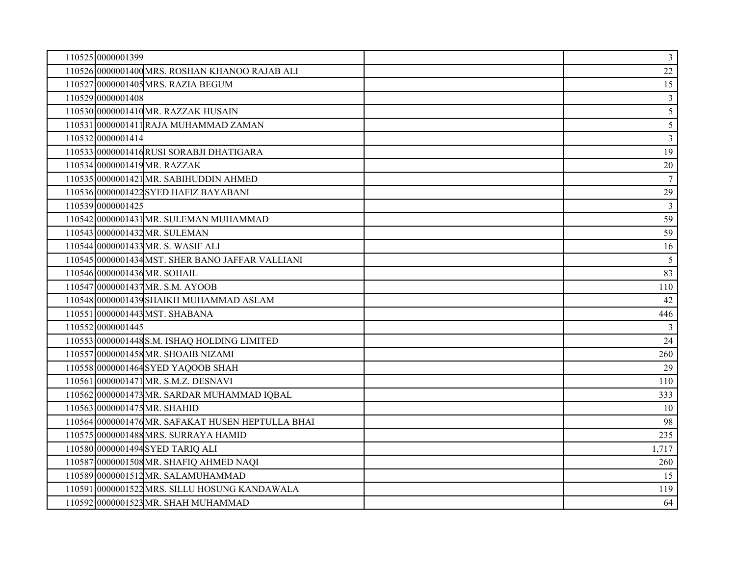| 110525 0000001399                                 | $\overline{3}$  |
|---------------------------------------------------|-----------------|
| 110526 0000001400 MRS. ROSHAN KHANOO RAJAB ALI    | 22              |
| 110527 0000001405 MRS. RAZIA BEGUM                | 15              |
| 110529 0000001408                                 | $\mathfrak{Z}$  |
| 110530 0000001410 MR. RAZZAK HUSAIN               | $\overline{5}$  |
| 110531 0000001411 RAJA MUHAMMAD ZAMAN             | 5               |
| 110532 0000001414                                 | $\mathfrak{Z}$  |
| 110533 0000001416RUSI SORABJI DHATIGARA           | 19              |
| 110534 0000001419 MR. RAZZAK                      | $20\,$          |
| 110535 0000001421 MR. SABIHUDDIN AHMED            | $7\overline{ }$ |
| 110536 0000001422 SYED HAFIZ BAYABANI             | 29              |
| 110539 0000001425                                 | $\mathfrak{Z}$  |
| 110542 0000001431 MR. SULEMAN MUHAMMAD            | 59              |
| 110543 0000001432 MR. SULEMAN                     | 59              |
| 110544 0000001433 MR. S. WASIF ALI                | 16              |
| 110545 0000001434 MST. SHER BANO JAFFAR VALLIANI  | 5               |
| 110546 0000001436 MR. SOHAIL                      | 83              |
| 110547 0000001437 MR. S.M. AYOOB                  | 110             |
| 110548 0000001439 SHAIKH MUHAMMAD ASLAM           | 42              |
| 110551 0000001443 MST. SHABANA                    | 446             |
| 110552 0000001445                                 | $\overline{3}$  |
| 110553 0000001448 S.M. ISHAQ HOLDING LIMITED      | 24              |
| 110557 0000001458 MR. SHOAIB NIZAMI               | 260             |
| 110558 0000001464 SYED YAQOOB SHAH                | 29              |
| 110561 0000001471 MR. S.M.Z. DESNAVI              | 110             |
| 110562 0000001473 MR. SARDAR MUHAMMAD IQBAL       | 333             |
| 110563 0000001475 MR. SHAHID                      | 10              |
| 110564 0000001476 MR. SAFAKAT HUSEN HEPTULLA BHAI | 98              |
| 110575 0000001488 MRS. SURRAYA HAMID              | 235             |
| 110580 0000001494 SYED TARIQ ALI                  | 1,717           |
| 110587 0000001508 MR. SHAFIQ AHMED NAQI           | 260             |
| 110589 0000001512 MR. SALAMUHAMMAD                | 15              |
| 110591 0000001522 MRS. SILLU HOSUNG KANDAWALA     | 119             |
| 110592 0000001523 MR. SHAH MUHAMMAD               | 64              |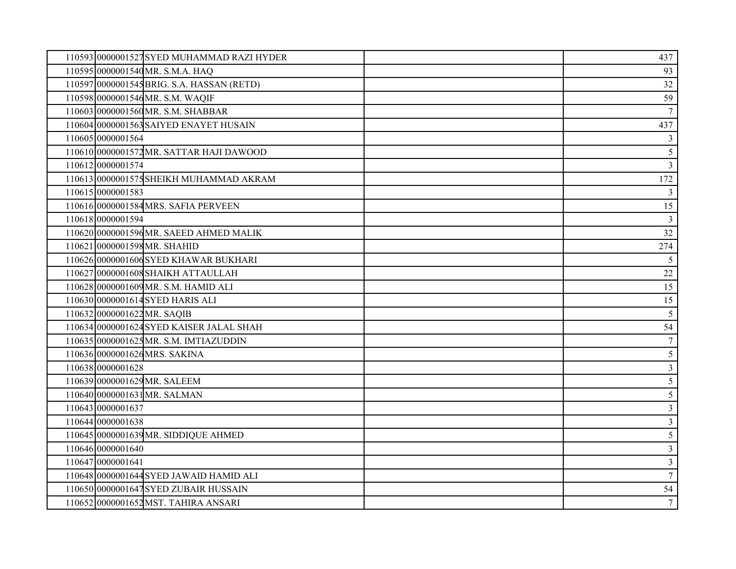| 110593 0000001527 SYED MUHAMMAD RAZI HYDER | 437             |
|--------------------------------------------|-----------------|
| 110595 0000001540 MR. S.M.A. HAQ           | 93              |
| 110597 0000001545 BRIG. S.A. HASSAN (RETD) | 32              |
| 110598 0000001546 MR. S.M. WAQIF           | 59              |
| 110603 0000001560 MR. S.M. SHABBAR         | $7\phantom{.0}$ |
| 110604 0000001563 SAIYED ENAYET HUSAIN     | 437             |
| 110605 0000001564                          | $\mathfrak{Z}$  |
| 110610 0000001572 MR. SATTAR HAJI DAWOOD   | 5               |
| 110612 0000001574                          | $\overline{3}$  |
| 110613 0000001575 SHEIKH MUHAMMAD AKRAM    | 172             |
| 110615 0000001583                          | $\mathbf{3}$    |
| 110616 0000001584 MRS. SAFIA PERVEEN       | 15              |
| 110618 0000001594                          | $\mathfrak{Z}$  |
| 110620 0000001596 MR. SAEED AHMED MALIK    | 32              |
| 110621 0000001598 MR. SHAHID               | 274             |
| 110626 0000001606 SYED KHAWAR BUKHARI      | 5               |
| 110627 0000001608 SHAIKH ATTAULLAH         | 22              |
| 110628 0000001609 MR. S.M. HAMID ALI       | 15              |
| 110630 0000001614 SYED HARIS ALI           | 15              |
| 110632 0000001622 MR. SAQIB                | 5 <sup>5</sup>  |
| 110634 0000001624 SYED KAISER JALAL SHAH   | 54              |
| 110635 0000001625 MR. S.M. IMTIAZUDDIN     | $\overline{7}$  |
| 110636 0000001626 MRS. SAKINA              | 5               |
| 110638 0000001628                          | $\mathfrak{Z}$  |
| 110639 0000001629 MR. SALEEM               | 5               |
| 110640 0000001631 MR. SALMAN               | 5               |
| 110643 0000001637                          | $\mathfrak{Z}$  |
| 110644 0000001638                          | $\mathfrak{Z}$  |
| 110645 0000001639 MR. SIDDIQUE AHMED       | 5               |
| 110646 0000001640                          | $\mathfrak{Z}$  |
| 110647 0000001641                          | $\overline{3}$  |
| 110648 0000001644 SYED JAWAID HAMID ALI    | $\overline{7}$  |
| 110650 0000001647 SYED ZUBAIR HUSSAIN      | 54              |
| 110652 0000001652 MST. TAHIRA ANSARI       | $\overline{7}$  |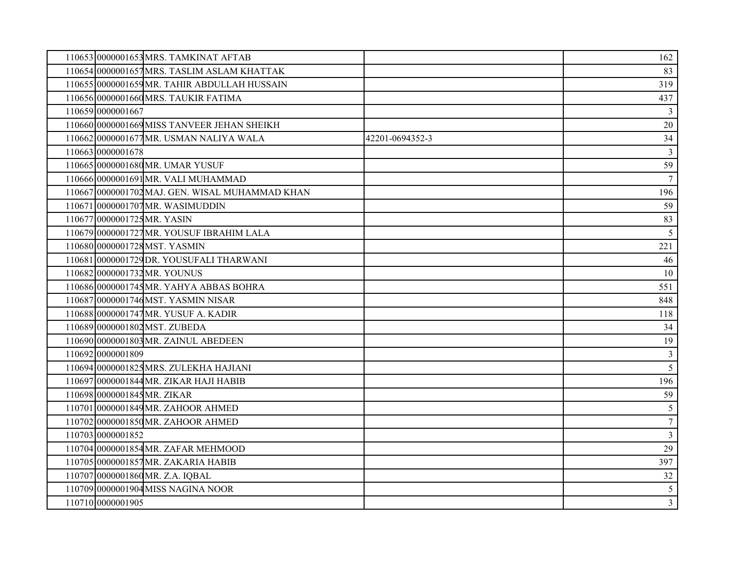| 110653 0000001653 MRS. TAMKINAT AFTAB           |                 | 162              |
|-------------------------------------------------|-----------------|------------------|
| 110654 0000001657 MRS. TASLIM ASLAM KHATTAK     |                 | 83               |
| 110655 0000001659 MR. TAHIR ABDULLAH HUSSAIN    |                 | 319              |
| 110656 0000001660 MRS. TAUKIR FATIMA            |                 | 437              |
| 110659 0000001667                               |                 | $\mathfrak{Z}$   |
| 110660 0000001669 MISS TANVEER JEHAN SHEIKH     |                 | 20               |
| 110662 0000001677 MR. USMAN NALIYA WALA         | 42201-0694352-3 | 34               |
| 110663 0000001678                               |                 | $\overline{3}$   |
| 110665 0000001680 MR. UMAR YUSUF                |                 | 59               |
| 110666 0000001691 MR. VALI MUHAMMAD             |                 | $\tau$           |
| 110667 0000001702 MAJ. GEN. WISAL MUHAMMAD KHAN |                 | 196              |
| 110671 0000001707 MR. WASIMUDDIN                |                 | 59               |
| 110677 0000001725 MR. YASIN                     |                 | 83               |
| 110679 0000001727 MR. YOUSUF IBRAHIM LALA       |                 | 5                |
| 110680 0000001728 MST. YASMIN                   |                 | 221              |
| 110681 0000001729 DR. YOUSUFALI THARWANI        |                 | 46               |
| 110682 0000001732 MR. YOUNUS                    |                 | 10               |
| 110686 0000001745 MR. YAHYA ABBAS BOHRA         |                 | 551              |
| 110687 0000001746 MST. YASMIN NISAR             |                 | 848              |
| 110688 0000001747 MR. YUSUF A. KADIR            |                 | 118              |
| 110689 0000001802 MST. ZUBEDA                   |                 | 34               |
| 110690 0000001803 MR. ZAINUL ABEDEEN            |                 | 19               |
| 110692 0000001809                               |                 | $\mathfrak{Z}$   |
| 110694 0000001825 MRS. ZULEKHA HAJIANI          |                 | $\overline{5}$   |
| 110697 0000001844 MR. ZIKAR HAJI HABIB          |                 | 196              |
| 110698 0000001845 MR. ZIKAR                     |                 | 59               |
| 110701 0000001849 MR. ZAHOOR AHMED              |                 | $\mathfrak{H}$   |
| 110702 0000001850 MR. ZAHOOR AHMED              |                 | $\boldsymbol{7}$ |
| 110703 0000001852                               |                 | $\overline{3}$   |
| 110704 0000001854 MR. ZAFAR MEHMOOD             |                 | 29               |
| 110705 0000001857 MR. ZAKARIA HABIB             |                 | 397              |
| 110707 0000001860 MR. Z.A. IQBAL                |                 | 32               |
| 110709 0000001904 MISS NAGINA NOOR              |                 | $5\overline{)}$  |
| 110710 0000001905                               |                 | $\mathfrak{Z}$   |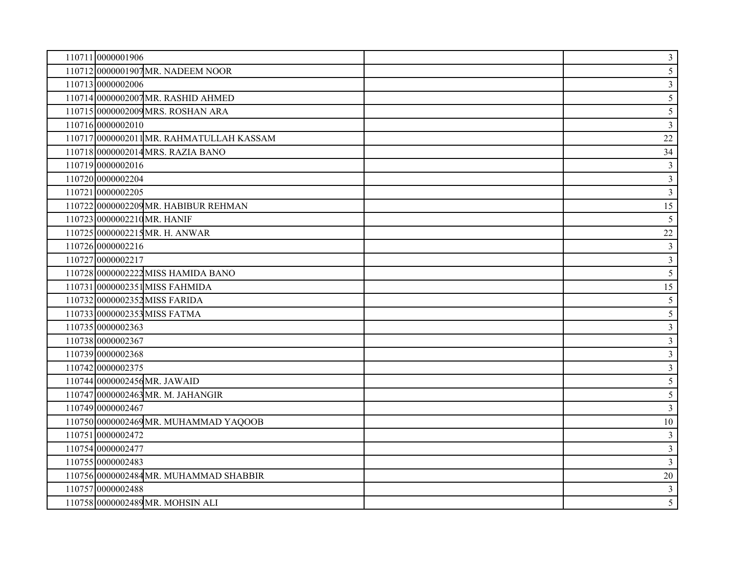| 110711 0000001906                        | $\mathfrak{Z}$ |
|------------------------------------------|----------------|
| 110712 0000001907 MR. NADEEM NOOR        | 5              |
| 110713 0000002006                        | $\mathfrak{Z}$ |
| 110714 0000002007 MR. RASHID AHMED       | 5              |
| 110715 0000002009 MRS. ROSHAN ARA        | 5              |
| 110716 0000002010                        | $\overline{3}$ |
| 110717 0000002011 MR. RAHMATULLAH KASSAM | 22             |
| 110718 0000002014 MRS. RAZIA BANO        | 34             |
| 110719 0000002016                        | $\overline{3}$ |
| 110720 0000002204                        | $\mathfrak{Z}$ |
| 110721 0000002205                        | $\overline{3}$ |
| 110722 0000002209 MR. HABIBUR REHMAN     | 15             |
| 110723 0000002210 MR. HANIF              | 5              |
| 110725 0000002215 MR. H. ANWAR           | 22             |
| 110726 0000002216                        | $\mathfrak{Z}$ |
| 110727 0000002217                        | $\mathfrak{Z}$ |
| 110728 0000002222 MISS HAMIDA BANO       | 5              |
| 110731 0000002351 MISS FAHMIDA           | 15             |
| 110732 0000002352 MISS FARIDA            | 5              |
| 110733 0000002353 MISS FATMA             | $\mathfrak{S}$ |
| 110735 0000002363                        | $\overline{3}$ |
| 110738 0000002367                        | $\mathfrak{Z}$ |
| 110739 0000002368                        | $\overline{3}$ |
| 110742 0000002375                        | $\mathfrak{Z}$ |
| 110744 0000002456 MR. JAWAID             | $\mathfrak{S}$ |
| 110747 0000002463 MR. M. JAHANGIR        | 5              |
| 110749 0000002467                        | $\mathfrak{Z}$ |
| 110750 0000002469 MR. MUHAMMAD YAQOOB    | $10\,$         |
| 110751 0000002472                        | $\mathfrak{Z}$ |
| 110754 0000002477                        | $\mathfrak{Z}$ |
| 110755 0000002483                        | $\mathfrak{Z}$ |
| 110756 0000002484 MR. MUHAMMAD SHABBIR   | $20\,$         |
| 110757 0000002488                        | $\mathfrak{Z}$ |
| 110758 0000002489 MR. MOHSIN ALI         | 5              |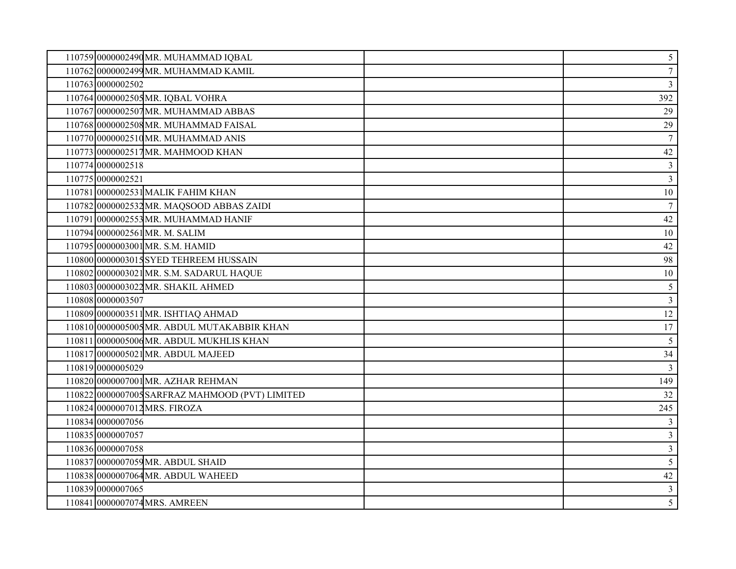| 110759 0000002490 MR. MUHAMMAD IQBAL            | $5\overline{)}$ |
|-------------------------------------------------|-----------------|
| 110762 0000002499 MR. MUHAMMAD KAMIL            | $\tau$          |
| 110763 0000002502                               | $\overline{3}$  |
| 110764 0000002505 MR. IQBAL VOHRA               | 392             |
| 110767 0000002507 MR. MUHAMMAD ABBAS            | $29\,$          |
| 110768 0000002508 MR. MUHAMMAD FAISAL           | 29              |
| 110770 0000002510 MR. MUHAMMAD ANIS             | $\overline{7}$  |
| 110773 0000002517 MR. MAHMOOD KHAN              | 42              |
| 110774 0000002518                               | $\mathfrak{Z}$  |
| 110775 0000002521                               | $\mathfrak{Z}$  |
| 110781 0000002531 MALIK FAHIM KHAN              | $10\,$          |
| 110782 0000002532 MR. MAQSOOD ABBAS ZAIDI       | $7\phantom{.0}$ |
| 110791 0000002553 MR. MUHAMMAD HANIF            | 42              |
| 110794 0000002561 MR. M. SALIM                  | 10              |
| 110795 0000003001 MR. S.M. HAMID                | 42              |
| 110800 0000003015 SYED TEHREEM HUSSAIN          | 98              |
| 110802 0000003021 MR. S.M. SADARUL HAQUE        | 10              |
| 110803 0000003022 MR. SHAKIL AHMED              | $\mathfrak{S}$  |
| 110808 0000003507                               | $\overline{3}$  |
| 110809 0000003511 MR. ISHTIAQ AHMAD             | $12\,$          |
| 110810 0000005005 MR. ABDUL MUTAKABBIR KHAN     | 17              |
| 110811 0000005000 MR. ABDUL MUKHLIS KHAN        | 5               |
| 110817 0000005021 MR. ABDUL MAJEED              | 34              |
| 110819 0000005029                               | $\overline{3}$  |
| 110820 0000007001 MR. AZHAR REHMAN              | 149             |
| 110822 0000007005 SARFRAZ MAHMOOD (PVT) LIMITED | 32              |
| 110824 0000007012 MRS. FIROZA                   | 245             |
| 110834 0000007056                               | $\mathbf{3}$    |
| 110835 0000007057                               | $\overline{3}$  |
| 110836 0000007058                               | $\mathfrak{Z}$  |
| 110837 0000007059 MR. ABDUL SHAID               | 5               |
| 110838 0000007064 MR. ABDUL WAHEED              | $42\,$          |
| 110839 0000007065                               | $\mathfrak{Z}$  |
| 110841 0000007074 MRS. AMREEN                   | 5               |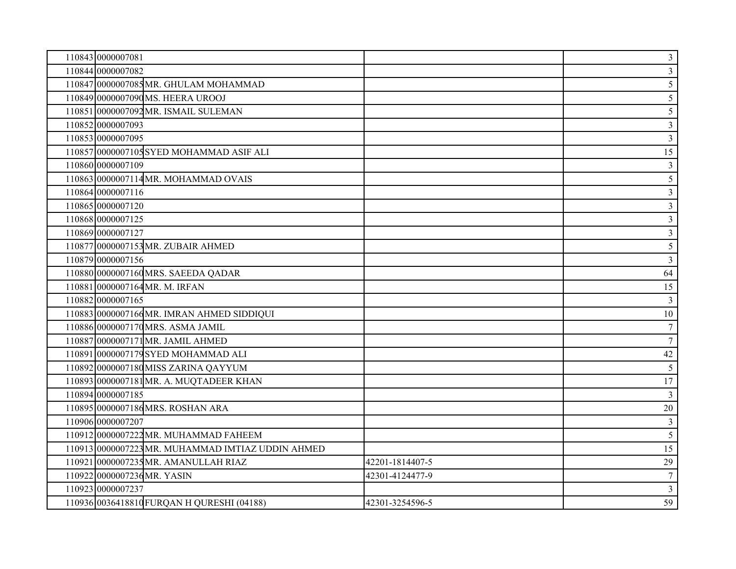| 110843 0000007081                                 |                 | $\mathfrak{Z}$   |
|---------------------------------------------------|-----------------|------------------|
| 110844 0000007082                                 |                 | $\mathfrak{Z}$   |
| 110847 0000007085 MR. GHULAM MOHAMMAD             |                 | 5                |
| 110849 0000007090 MS. HEERA UROOJ                 |                 | 5                |
| 110851 0000007092 MR. ISMAIL SULEMAN              |                 | 5                |
| 110852 0000007093                                 |                 | $\mathfrak{Z}$   |
| 110853 0000007095                                 |                 | $\mathfrak{Z}$   |
| 110857 0000007105 SYED MOHAMMAD ASIF ALI          |                 | 15               |
| 110860 0000007109                                 |                 | 3                |
| 110863 0000007114 MR. MOHAMMAD OVAIS              |                 | 5                |
| 110864 0000007116                                 |                 | $\mathfrak{Z}$   |
| 110865 0000007120                                 |                 | $\mathfrak{Z}$   |
| 110868 0000007125                                 |                 | $\mathfrak{Z}$   |
| 110869 0000007127                                 |                 | $\mathfrak{Z}$   |
| 110877 0000007153 MR. ZUBAIR AHMED                |                 | 5                |
| 110879 0000007156                                 |                 | $\mathfrak{Z}$   |
| 110880 0000007160 MRS. SAEEDA QADAR               |                 | 64               |
| 110881 0000007164 MR. M. IRFAN                    |                 | 15               |
| 110882 0000007165                                 |                 | $\mathfrak{Z}$   |
| 110883 0000007166 MR. IMRAN AHMED SIDDIQUI        |                 | $10\,$           |
| 110886 0000007170 MRS. ASMA JAMIL                 |                 | $\boldsymbol{7}$ |
| 110887 0000007171 MR. JAMIL AHMED                 |                 | $\tau$           |
| 110891 0000007179 SYED MOHAMMAD ALI               |                 | $42\,$           |
| 110892 0000007180 MISS ZARINA QAYYUM              |                 | 5                |
| 110893 0000007181 MR. A. MUQTADEER KHAN           |                 | 17               |
| 110894 0000007185                                 |                 | $\mathfrak{Z}$   |
| 110895 0000007186 MRS. ROSHAN ARA                 |                 | $20\,$           |
| 110906 0000007207                                 |                 | $\mathfrak{Z}$   |
| 110912 0000007222 MR. MUHAMMAD FAHEEM             |                 | $5\overline{)}$  |
| 110913 0000007223 MR. MUHAMMAD IMTIAZ UDDIN AHMED |                 | 15               |
| 110921 0000007235 MR. AMANULLAH RIAZ              | 42201-1814407-5 | 29               |
| 110922 0000007236 MR. YASIN                       | 42301-4124477-9 | $\tau$           |
| 110923 0000007237                                 |                 | $\overline{3}$   |
| 110936 0036418810 FURQAN H QURESHI (04188)        | 42301-3254596-5 | 59               |